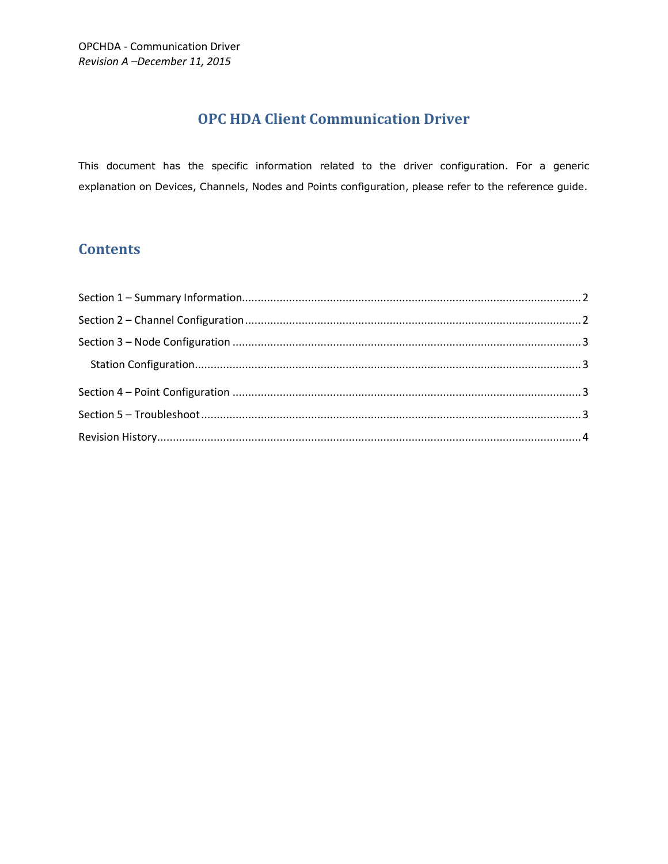# **OPC HDA Client Communication Driver**

This document has the specific information related to the driver configuration. For a generic explanation on Devices, Channels, Nodes and Points configuration, please refer to the reference guide.

# **Contents**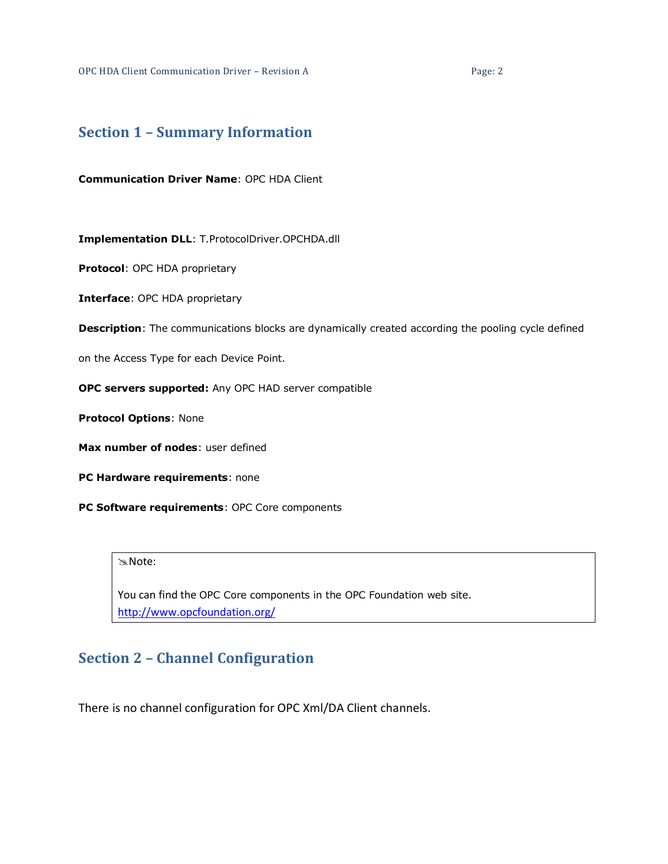OPC HDA Client Communication Driver – Revision A Page: 2

#### <span id="page-1-0"></span>**Section 1 – Summary Information**

**Communication Driver Name**: OPC HDA Client

**Implementation DLL**: T.ProtocolDriver.OPCHDA.dll

**Protocol**: OPC HDA proprietary

**Interface**: OPC HDA proprietary

**Description**: The communications blocks are dynamically created according the pooling cycle defined

on the Access Type for each Device Point.

**OPC servers supported:** Any OPC HAD server compatible

**Protocol Options**: None

**Max number of nodes**: user defined

**PC Hardware requirements**: none

**PC Software requirements**: OPC Core components

#### Note:

You can find the OPC Core components in the OPC Foundation web site. <http://www.opcfoundation.org/>

# <span id="page-1-1"></span>**Section 2 – Channel Configuration**

There is no channel configuration for OPC Xml/DA Client channels.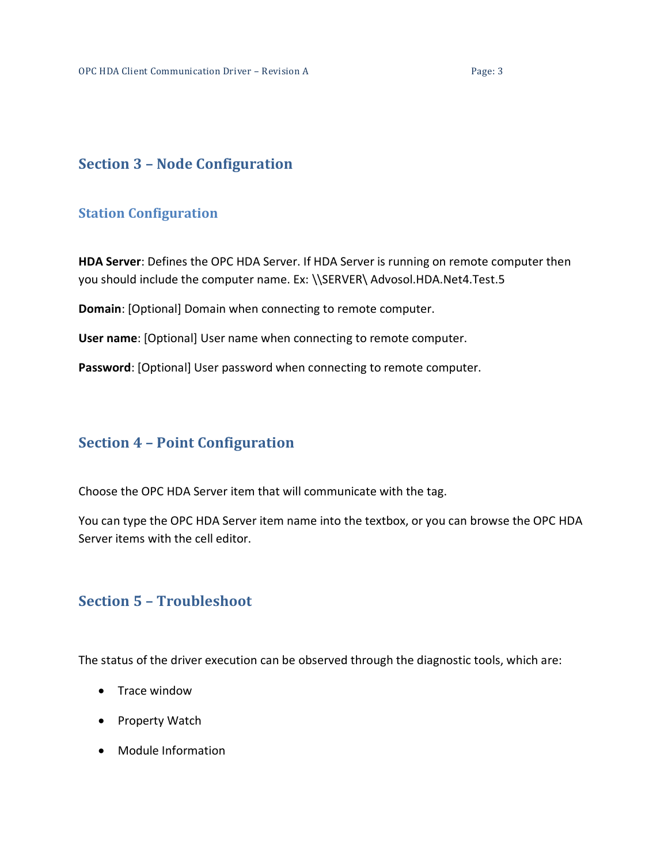## <span id="page-2-0"></span>**Section 3 – Node Configuration**

#### <span id="page-2-1"></span>**Station Configuration**

**HDA Server**: Defines the OPC HDA Server. If HDA Server is running on remote computer then you should include the computer name. Ex: \\SERVER\ Advosol.HDA.Net4.Test.5

**Domain**: [Optional] Domain when connecting to remote computer.

**User name**: [Optional] User name when connecting to remote computer.

**Password**: [Optional] User password when connecting to remote computer.

### <span id="page-2-2"></span>**Section 4 – Point Configuration**

Choose the OPC HDA Server item that will communicate with the tag.

You can type the OPC HDA Server item name into the textbox, or you can browse the OPC HDA Server items with the cell editor.

#### <span id="page-2-3"></span>**Section 5 – Troubleshoot**

The status of the driver execution can be observed through the diagnostic tools, which are:

- Trace window
- Property Watch
- Module Information